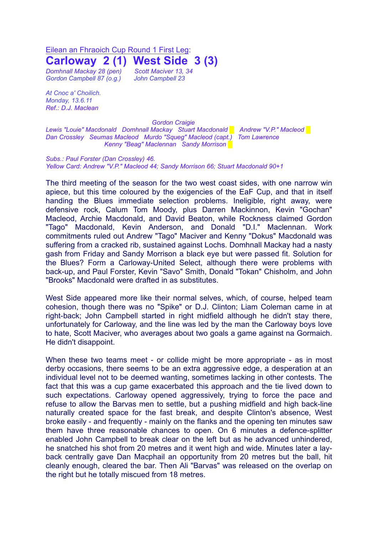Eilean an Fhraoich Cup Round 1 First Leg:

**Carloway 2 (1) West Side 3 (3)**

*Gordon Campbell 87 (o.g.) John Campbell 23*

*Domhnall Mackay 28 (pen) Scott Maciver 13, 34*

*At Cnoc a' Choilich. Monday, 13.6.11 Ref.: D.J. Maclean*

*Gordon Craigie*

*Lewis "Louie" Macdonald Domhnall Mackay Stuart Macdonald █ Andrew "V.P." Macleod* █ *Dan Crossley Seumas Macleod Murdo "Squeg" Macleod (capt.) Tom Lawrence Kenny "Beag" Maclennan Sandy Morrison* █

*Subs.: Paul Forster (Dan Crossley) 46. Yellow Card: Andrew "V.P." Macleod 44; Sandy Morrison 66; Stuart Macdonald 90+1*

The third meeting of the season for the two west coast sides, with one narrow win apiece, but this time coloured by the exigencies of the EaF Cup, and that in itself handing the Blues immediate selection problems. Ineligible, right away, were defensive rock, Calum Tom Moody, plus Darren Mackinnon, Kevin "Gochan" Macleod, Archie Macdonald, and David Beaton, while Rockness claimed Gordon "Tago" Macdonald, Kevin Anderson, and Donald "D.I." Maclennan. Work commitments ruled out Andrew "Tago" Maciver and Kenny "Dokus" Macdonald was suffering from a cracked rib, sustained against Lochs. Domhnall Mackay had a nasty gash from Friday and Sandy Morrison a black eye but were passed fit. Solution for the Blues? Form a Carloway-United Select, although there were problems with back-up, and Paul Forster, Kevin "Savo" Smith, Donald "Tokan" Chisholm, and John "Brooks" Macdonald were drafted in as substitutes.

West Side appeared more like their normal selves, which, of course, helped team cohesion, though there was no "Spike" or D.J. Clinton; Liam Coleman came in at right-back; John Campbell started in right midfield although he didn't stay there, unfortunately for Carloway, and the line was led by the man the Carloway boys love to hate, Scott Maciver, who averages about two goals a game against na Gormaich. He didn't disappoint.

When these two teams meet - or collide might be more appropriate - as in most derby occasions, there seems to be an extra aggressive edge, a desperation at an individual level not to be deemed wanting, sometimes lacking in other contests. The fact that this was a cup game exacerbated this approach and the tie lived down to such expectations. Carloway opened aggressively, trying to force the pace and refuse to allow the Barvas men to settle, but a pushing midfield and high back-line naturally created space for the fast break, and despite Clinton's absence, West broke easily - and frequently - mainly on the flanks and the opening ten minutes saw them have three reasonable chances to open. On 6 minutes a defence-splitter enabled John Campbell to break clear on the left but as he advanced unhindered, he snatched his shot from 20 metres and it went high and wide. Minutes later a layback centrally gave Dan Macphail an opportunity from 20 metres but the ball, hit cleanly enough, cleared the bar. Then Ali "Barvas" was released on the overlap on the right but he totally miscued from 18 metres.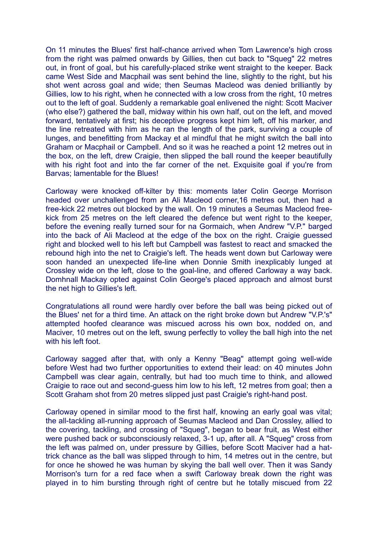On 11 minutes the Blues' first half-chance arrived when Tom Lawrence's high cross from the right was palmed onwards by Gillies, then cut back to "Squeg" 22 metres out, in front of goal, but his carefully-placed strike went straight to the keeper. Back came West Side and Macphail was sent behind the line, slightly to the right, but his shot went across goal and wide; then Seumas Macleod was denied brilliantly by Gillies, low to his right, when he connected with a low cross from the right, 10 metres out to the left of goal. Suddenly a remarkable goal enlivened the night: Scott Maciver (who else?) gathered the ball, midway within his own half, out on the left, and moved forward, tentatively at first; his deceptive progress kept him left, off his marker, and the line retreated with him as he ran the length of the park, surviving a couple of lunges, and benefitting from Mackay et al mindful that he might switch the ball into Graham or Macphail or Campbell. And so it was he reached a point 12 metres out in the box, on the left, drew Craigie, then slipped the ball round the keeper beautifully with his right foot and into the far corner of the net. Exquisite goal if you're from Barvas; lamentable for the Blues!

Carloway were knocked off-kilter by this: moments later Colin George Morrison headed over unchallenged from an Ali Macleod corner,16 metres out, then had a free-kick 22 metres out blocked by the wall. On 19 minutes a Seumas Macleod freekick from 25 metres on the left cleared the defence but went right to the keeper, before the evening really turned sour for na Gormaich, when Andrew "V.P." barged into the back of Ali Macleod at the edge of the box on the right. Craigie guessed right and blocked well to his left but Campbell was fastest to react and smacked the rebound high into the net to Craigie's left. The heads went down but Carloway were soon handed an unexpected life-line when Donnie Smith inexplicably lunged at Crossley wide on the left, close to the goal-line, and offered Carloway a way back. Domhnall Mackay opted against Colin George's placed approach and almost burst the net high to Gillies's left.

Congratulations all round were hardly over before the ball was being picked out of the Blues' net for a third time. An attack on the right broke down but Andrew "V.P.'s" attempted hoofed clearance was miscued across his own box, nodded on, and Maciver, 10 metres out on the left, swung perfectly to volley the ball high into the net with his left foot.

Carloway sagged after that, with only a Kenny "Beag" attempt going well-wide before West had two further opportunities to extend their lead: on 40 minutes John Campbell was clear again, centrally, but had too much time to think, and allowed Craigie to race out and second-guess him low to his left, 12 metres from goal; then a Scott Graham shot from 20 metres slipped just past Craigie's right-hand post.

Carloway opened in similar mood to the first half, knowing an early goal was vital; the all-tackling all-running approach of Seumas Macleod and Dan Crossley, allied to the covering, tackling, and crossing of "Squeg", began to bear fruit, as West either were pushed back or subconsciously relaxed, 3-1 up, after all. A "Squeg" cross from the left was palmed on, under pressure by Gillies, before Scott Maciver had a hattrick chance as the ball was slipped through to him, 14 metres out in the centre, but for once he showed he was human by skying the ball well over. Then it was Sandy Morrison's turn for a red face when a swift Carloway break down the right was played in to him bursting through right of centre but he totally miscued from 22